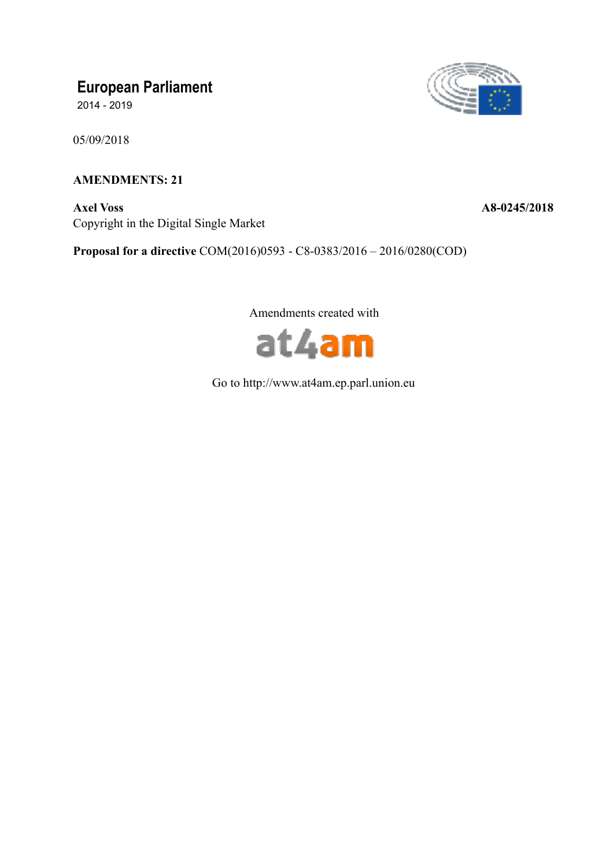# **European Parliament**

2014 - 2019

05/09/2018

# **AMENDMENTS: 21**

**Axel Voss A8-0245/2018**  Copyright in the Digital Single Market



**Proposal for a directive** COM(2016)0593 - C8-0383/2016 – 2016/0280(COD)

Amendments created with



Go to http://www.at4am.ep.parl.union.eu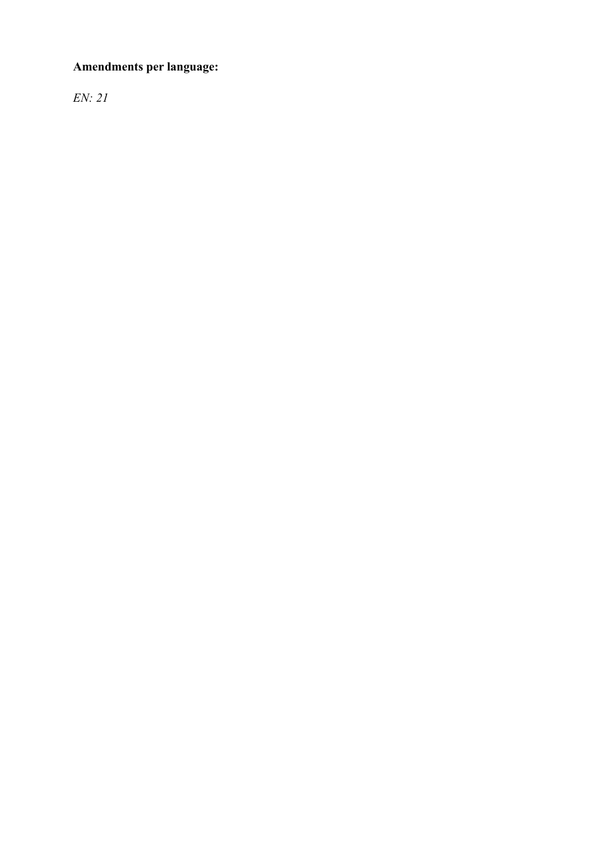# **Amendments per language:**

*EN: 21*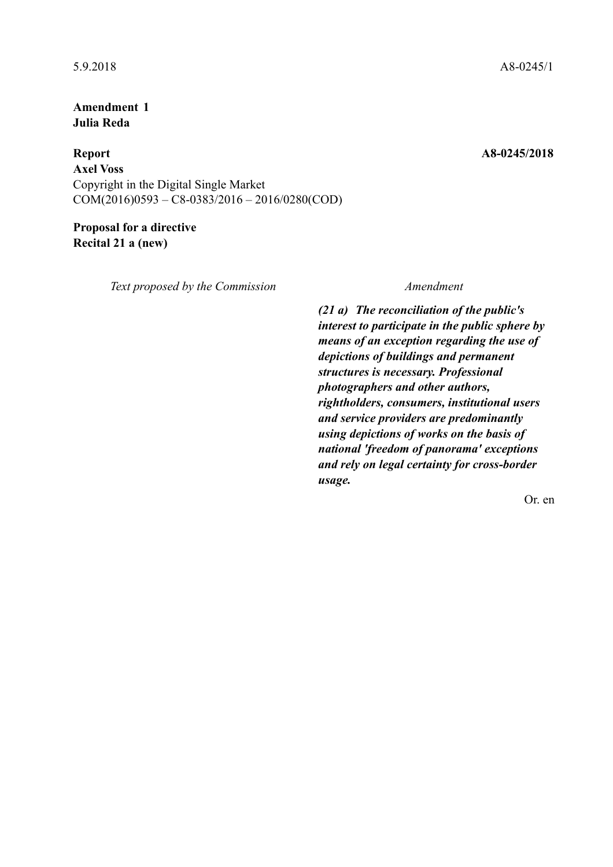**Amendment 1 Julia Reda** 

**Report A8-0245/2018 Axel Voss**  Copyright in the Digital Single Market  $COM(2016)0593 - C8 - 0383/2016 - 2016/0280(COD)$ 

**Proposal for a directive Recital 21 a (new)** 

*Text proposed by the Commission Amendment*

*(21 a) The reconciliation of the public's interest to participate in the public sphere by means of an exception regarding the use of depictions of buildings and permanent structures is necessary. Professional photographers and other authors, rightholders, consumers, institutional users and service providers are predominantly using depictions of works on the basis of national 'freedom of panorama' exceptions and rely on legal certainty for cross-border usage.*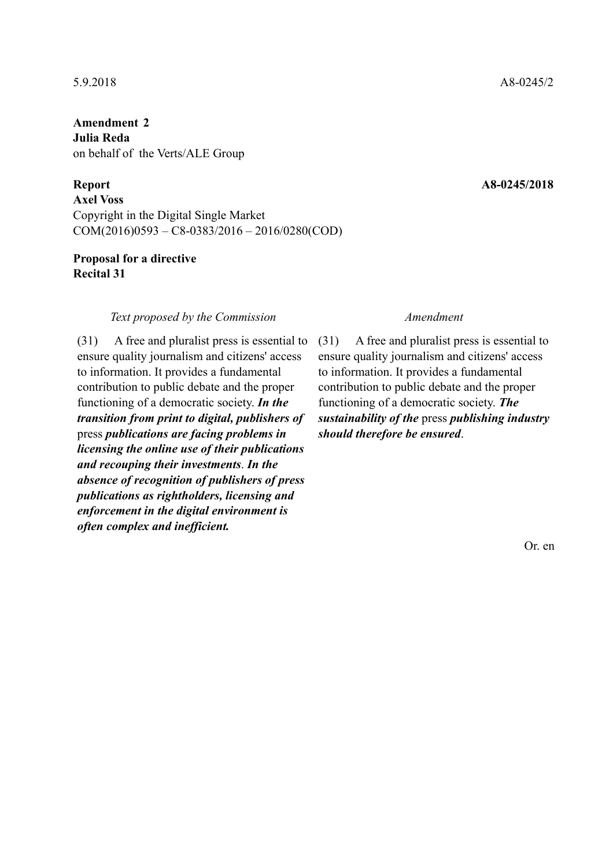**Amendment 2 Julia Reda**  on behalf of the Verts/ALE Group

**Axel Voss**  Copyright in the Digital Single Market COM(2016)0593 – C8-0383/2016 – 2016/0280(COD)

# **Proposal for a directive Recital 31**

## *Text proposed by the Commission Amendment*

(31) A free and pluralist press is essential to ensure quality journalism and citizens' access to information. It provides a fundamental contribution to public debate and the proper functioning of a democratic society. *In the transition from print to digital, publishers of* press *publications are facing problems in licensing the online use of their publications and recouping their investments*. *In the absence of recognition of publishers of press publications as rightholders, licensing and enforcement in the digital environment is often complex and inefficient.*

(31) A free and pluralist press is essential to ensure quality journalism and citizens' access to information. It provides a fundamental contribution to public debate and the proper functioning of a democratic society. *The sustainability of the* press *publishing industry should therefore be ensured*.

Or. en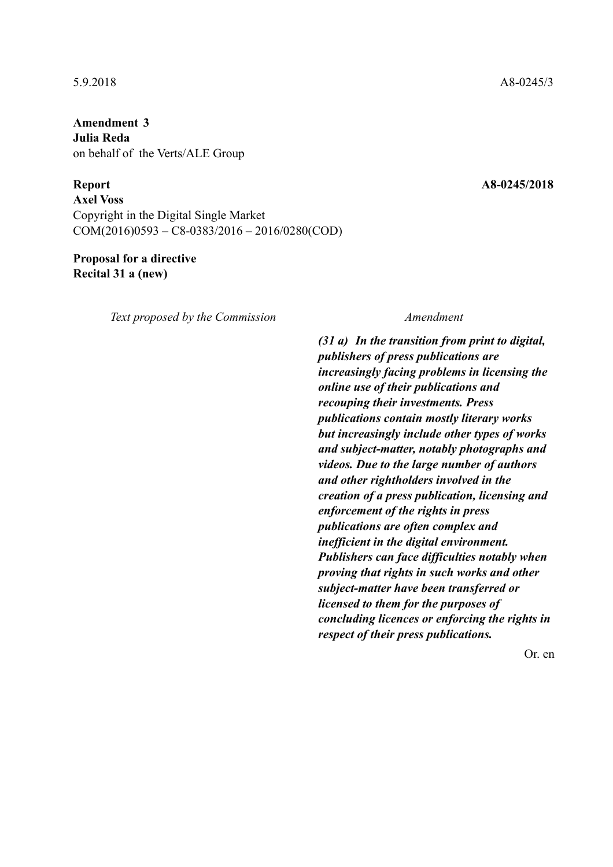**Amendment 3 Julia Reda**  on behalf of the Verts/ALE Group

**Report A8-0245/2018** 

**Axel Voss**  Copyright in the Digital Single Market COM(2016)0593 – C8-0383/2016 – 2016/0280(COD)

# **Proposal for a directive Recital 31 a (new)**

*Text proposed by the Commission Amendment*

*(31 a) In the transition from print to digital, publishers of press publications are increasingly facing problems in licensing the online use of their publications and recouping their investments. Press publications contain mostly literary works but increasingly include other types of works and subject-matter, notably photographs and videos. Due to the large number of authors and other rightholders involved in the creation of a press publication, licensing and enforcement of the rights in press publications are often complex and inefficient in the digital environment. Publishers can face difficulties notably when proving that rights in such works and other subject-matter have been transferred or licensed to them for the purposes of concluding licences or enforcing the rights in respect of their press publications.*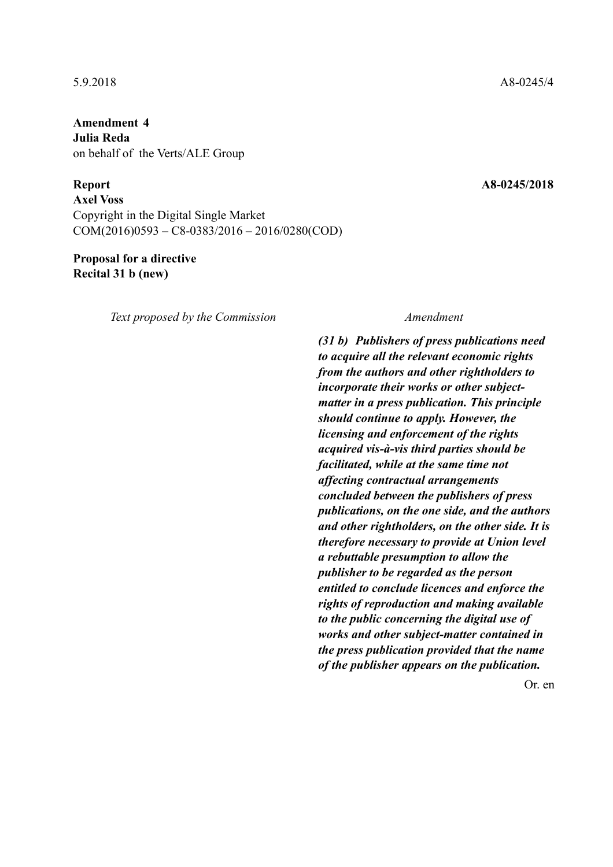**Amendment 4 Julia Reda**  on behalf of the Verts/ALE Group

**Report A8-0245/2018** 

**Axel Voss**  Copyright in the Digital Single Market COM(2016)0593 – C8-0383/2016 – 2016/0280(COD)

# **Proposal for a directive Recital 31 b (new)**

*Text proposed by the Commission Amendment*

*(31 b) Publishers of press publications need to acquire all the relevant economic rights from the authors and other rightholders to incorporate their works or other subjectmatter in a press publication. This principle should continue to apply. However, the licensing and enforcement of the rights acquired vis-à-vis third parties should be facilitated, while at the same time not affecting contractual arrangements concluded between the publishers of press publications, on the one side, and the authors and other rightholders, on the other side. It is therefore necessary to provide at Union level a rebuttable presumption to allow the publisher to be regarded as the person entitled to conclude licences and enforce the rights of reproduction and making available to the public concerning the digital use of works and other subject-matter contained in the press publication provided that the name of the publisher appears on the publication.*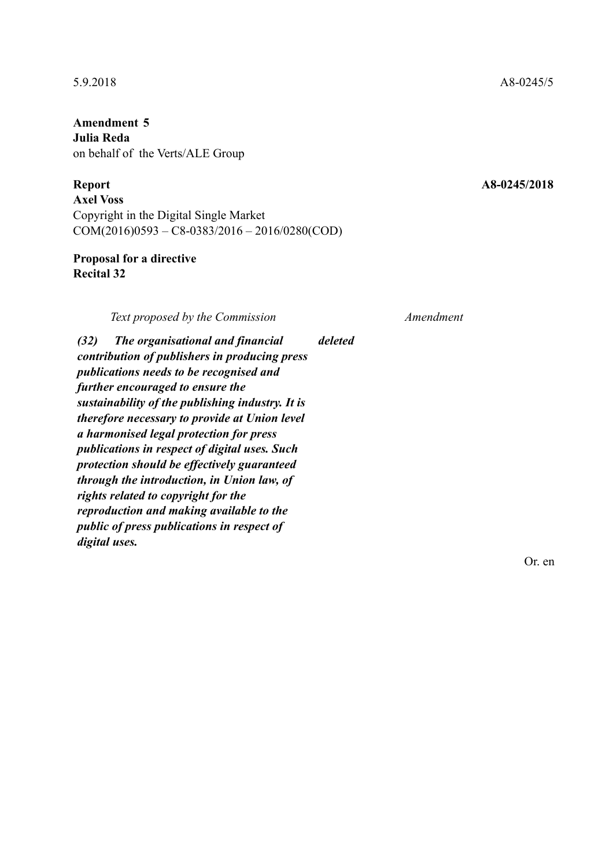**Amendment 5 Julia Reda**  on behalf of the Verts/ALE Group

# **Report A8-0245/2018**

**Axel Voss**  Copyright in the Digital Single Market COM(2016)0593 – C8-0383/2016 – 2016/0280(COD)

# **Proposal for a directive Recital 32**

*Text proposed by the Commission Amendment*

*(32) The organisational and financial contribution of publishers in producing press publications needs to be recognised and further encouraged to ensure the sustainability of the publishing industry. It is therefore necessary to provide at Union level a harmonised legal protection for press publications in respect of digital uses. Such protection should be effectively guaranteed through the introduction, in Union law, of rights related to copyright for the reproduction and making available to the public of press publications in respect of digital uses. deleted*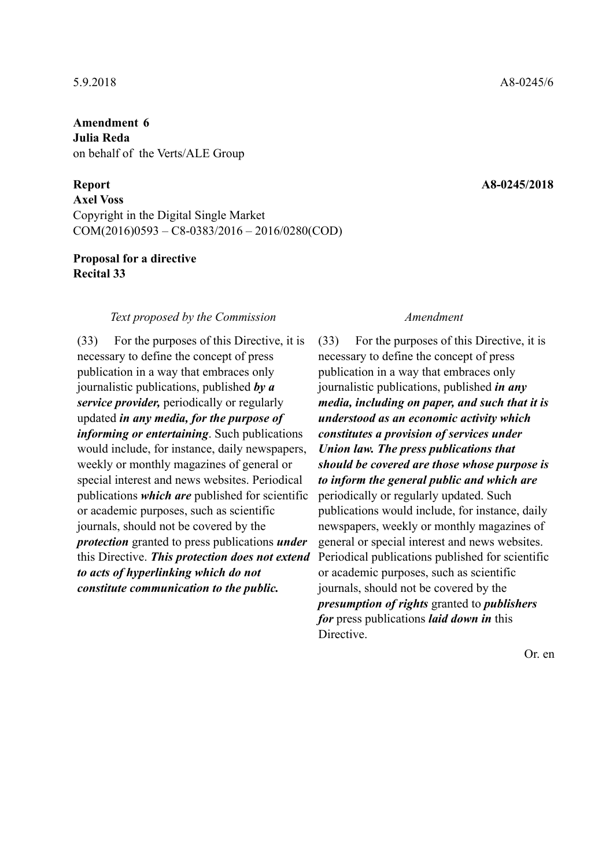**Amendment 6 Julia Reda**  on behalf of the Verts/ALE Group

**Axel Voss**  Copyright in the Digital Single Market COM(2016)0593 – C8-0383/2016 – 2016/0280(COD)

# **Proposal for a directive Recital 33**

## *Text proposed by the Commission Amendment*

(33) For the purposes of this Directive, it is necessary to define the concept of press publication in a way that embraces only journalistic publications, published *by a service provider,* periodically or regularly updated *in any media, for the purpose of informing or entertaining*. Such publications would include, for instance, daily newspapers, weekly or monthly magazines of general or special interest and news websites. Periodical publications *which are* published for scientific or academic purposes, such as scientific journals, should not be covered by the *protection* granted to press publications *under* this Directive. *This protection does not extend to acts of hyperlinking which do not constitute communication to the public.*

(33) For the purposes of this Directive, it is necessary to define the concept of press publication in a way that embraces only journalistic publications, published *in any media, including on paper, and such that it is understood as an economic activity which constitutes a provision of services under Union law. The press publications that should be covered are those whose purpose is to inform the general public and which are* periodically or regularly updated. Such publications would include, for instance, daily newspapers, weekly or monthly magazines of general or special interest and news websites. Periodical publications published for scientific or academic purposes, such as scientific journals, should not be covered by the *presumption of rights* granted to *publishers for* press publications *laid down in* this Directive.

Or. en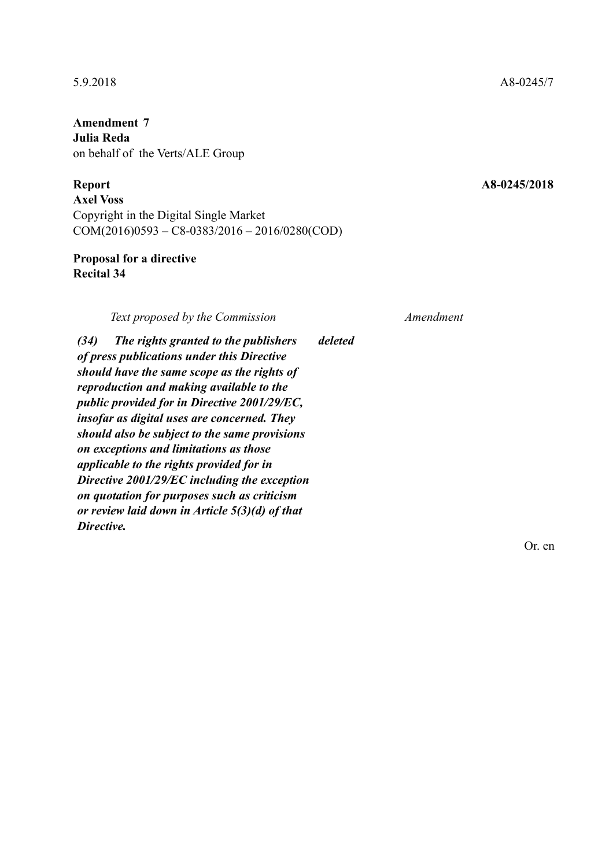**Amendment 7 Julia Reda**  on behalf of the Verts/ALE Group

**Axel Voss**  Copyright in the Digital Single Market COM(2016)0593 – C8-0383/2016 – 2016/0280(COD)

# **Proposal for a directive Recital 34**

*Text proposed by the Commission Amendment*

*(34) The rights granted to the publishers of press publications under this Directive should have the same scope as the rights of reproduction and making available to the public provided for in Directive 2001/29/EC, insofar as digital uses are concerned. They should also be subject to the same provisions on exceptions and limitations as those applicable to the rights provided for in Directive 2001/29/EC including the exception on quotation for purposes such as criticism or review laid down in Article 5(3)(d) of that Directive. deleted*

Or. en

## 5.9.2018 A8-0245/7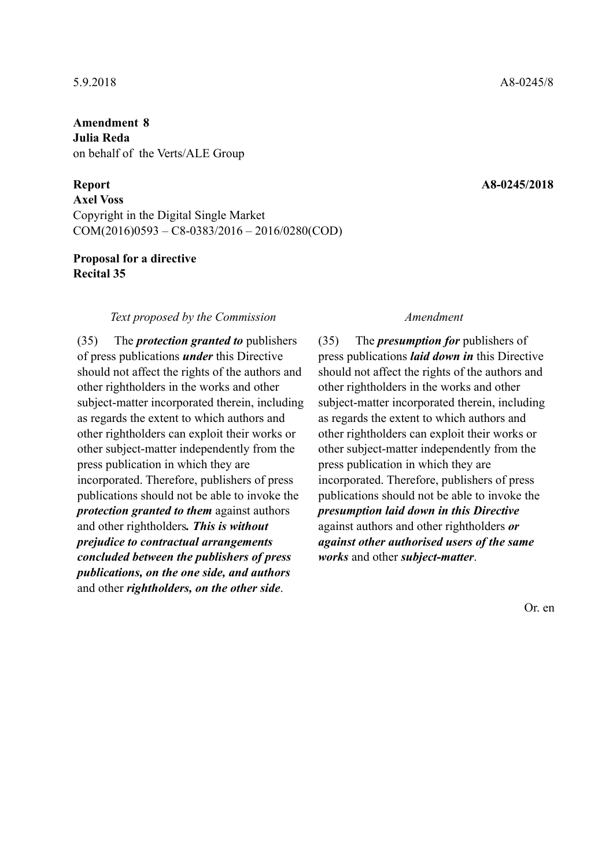**Amendment 8 Julia Reda**  on behalf of the Verts/ALE Group

**Axel Voss**  Copyright in the Digital Single Market COM(2016)0593 – C8-0383/2016 – 2016/0280(COD)

# **Proposal for a directive Recital 35**

## *Text proposed by the Commission Amendment*

(35) The *protection granted to* publishers of press publications *under* this Directive should not affect the rights of the authors and other rightholders in the works and other subject-matter incorporated therein, including as regards the extent to which authors and other rightholders can exploit their works or other subject-matter independently from the press publication in which they are incorporated. Therefore, publishers of press publications should not be able to invoke the *protection granted to them* against authors and other rightholders*. This is without prejudice to contractual arrangements concluded between the publishers of press publications, on the one side, and authors* and other *rightholders, on the other side*.

(35) The *presumption for* publishers of press publications *laid down in* this Directive should not affect the rights of the authors and other rightholders in the works and other subject-matter incorporated therein, including as regards the extent to which authors and other rightholders can exploit their works or other subject-matter independently from the press publication in which they are incorporated. Therefore, publishers of press publications should not be able to invoke the *presumption laid down in this Directive* against authors and other rightholders *or against other authorised users of the same works* and other *subject-matter*.

Or. en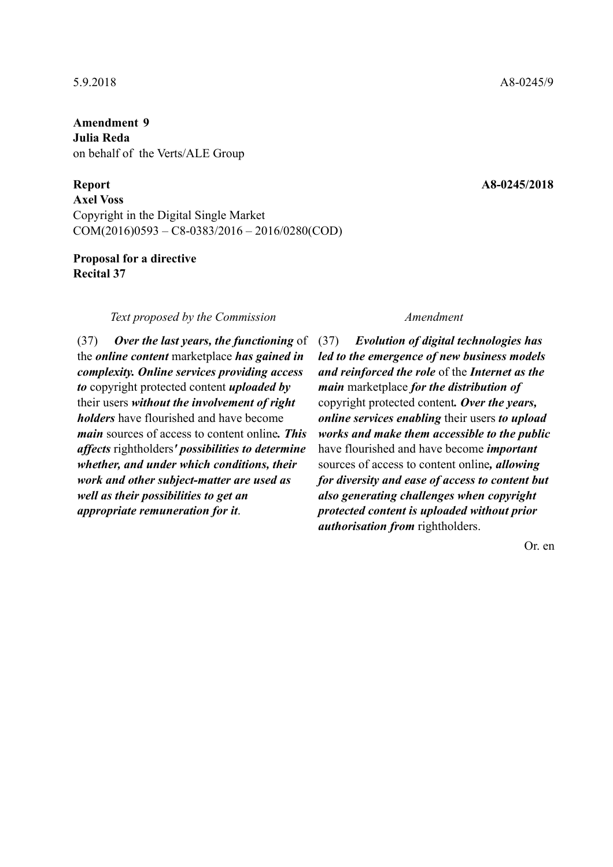**Amendment 9 Julia Reda**  on behalf of the Verts/ALE Group

**Axel Voss**  Copyright in the Digital Single Market COM(2016)0593 – C8-0383/2016 – 2016/0280(COD)

# **Proposal for a directive Recital 37**

## *Text proposed by the Commission Amendment*

(37) *Over the last years, the functioning* of the *online content* marketplace *has gained in complexity. Online services providing access to* copyright protected content *uploaded by* their users *without the involvement of right holders* have flourished and have become *main* sources of access to content online*. This affects* rightholders*' possibilities to determine whether, and under which conditions, their work and other subject-matter are used as well as their possibilities to get an appropriate remuneration for it*.

(37) *Evolution of digital technologies has led to the emergence of new business models and reinforced the role* of the *Internet as the main* marketplace *for the distribution of* copyright protected content*. Over the years, online services enabling* their users *to upload works and make them accessible to the public* have flourished and have become *important* sources of access to content online*, allowing for diversity and ease of access to content but also generating challenges when copyright protected content is uploaded without prior authorisation from* rightholders.

Or. en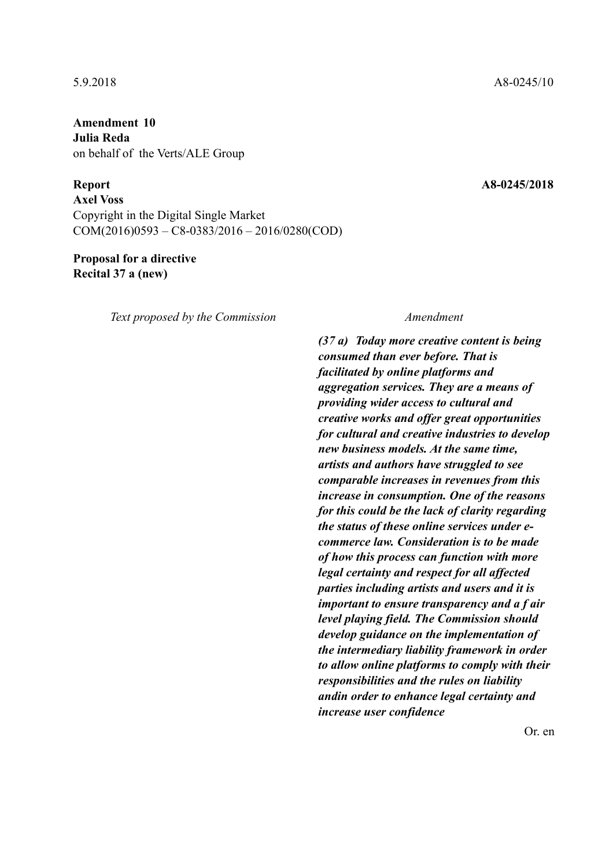**Amendment 10 Julia Reda**  on behalf of the Verts/ALE Group

**Report A8-0245/2018** 

**Axel Voss**  Copyright in the Digital Single Market COM(2016)0593 – C8-0383/2016 – 2016/0280(COD)

# **Proposal for a directive Recital 37 a (new)**

*Text proposed by the Commission Amendment*

*(37 a) Today more creative content is being consumed than ever before. That is facilitated by online platforms and aggregation services. They are a means of providing wider access to cultural and creative works and offer great opportunities for cultural and creative industries to develop new business models. At the same time, artists and authors have struggled to see comparable increases in revenues from this increase in consumption. One of the reasons for this could be the lack of clarity regarding the status of these online services under ecommerce law. Consideration is to be made of how this process can function with more legal certainty and respect for all affected parties including artists and users and it is important to ensure transparency and a f air level playing field. The Commission should develop guidance on the implementation of the intermediary liability framework in order to allow online platforms to comply with their responsibilities and the rules on liability andin order to enhance legal certainty and increase user confidence*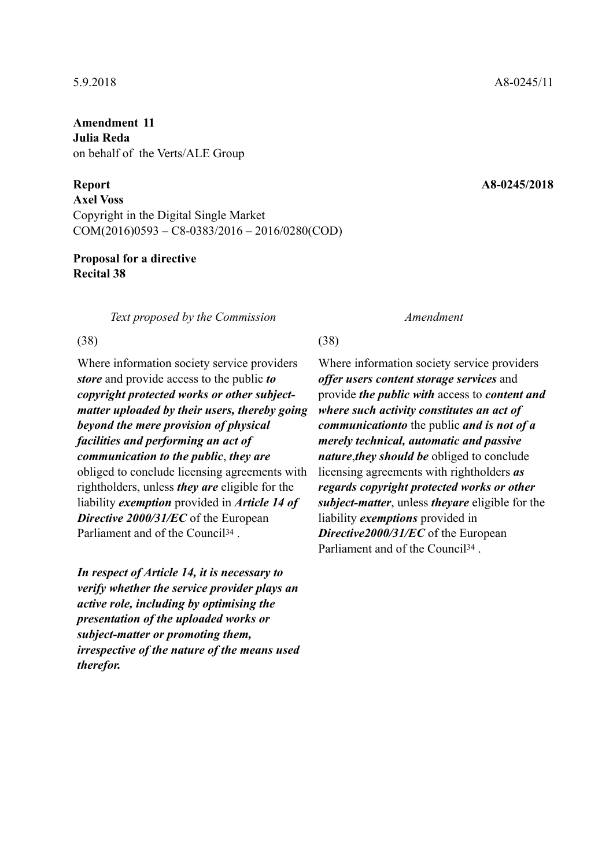**Amendment 11 Julia Reda**  on behalf of the Verts/ALE Group

**Axel Voss**  Copyright in the Digital Single Market COM(2016)0593 – C8-0383/2016 – 2016/0280(COD)

# **Proposal for a directive Recital 38**

*Text proposed by the Commission Amendment*

## $(38)$  (38)

Where information society service providers *store* and provide access to the public *to copyright protected works or other subjectmatter uploaded by their users, thereby going beyond the mere provision of physical facilities and performing an act of communication to the public*, *they are* obliged to conclude licensing agreements with rightholders, unless *they are* eligible for the liability *exemption* provided in *Article 14 of Directive 2000/31/EC* of the European Parliament and of the Council<sup>34</sup>.

*In respect of Article 14, it is necessary to verify whether the service provider plays an active role, including by optimising the presentation of the uploaded works or subject-matter or promoting them, irrespective of the nature of the means used therefor.*

Where information society service providers *offer users content storage services* and provide *the public with* access to *content and where such activity constitutes an act of communicationto* the public *and is not of a merely technical, automatic and passive nature*,*they should be* obliged to conclude licensing agreements with rightholders *as regards copyright protected works or other subject-matter*, unless *theyare* eligible for the liability *exemptions* provided in *Directive2000/31/EC* of the European Parliament and of the Council<sup>34</sup>.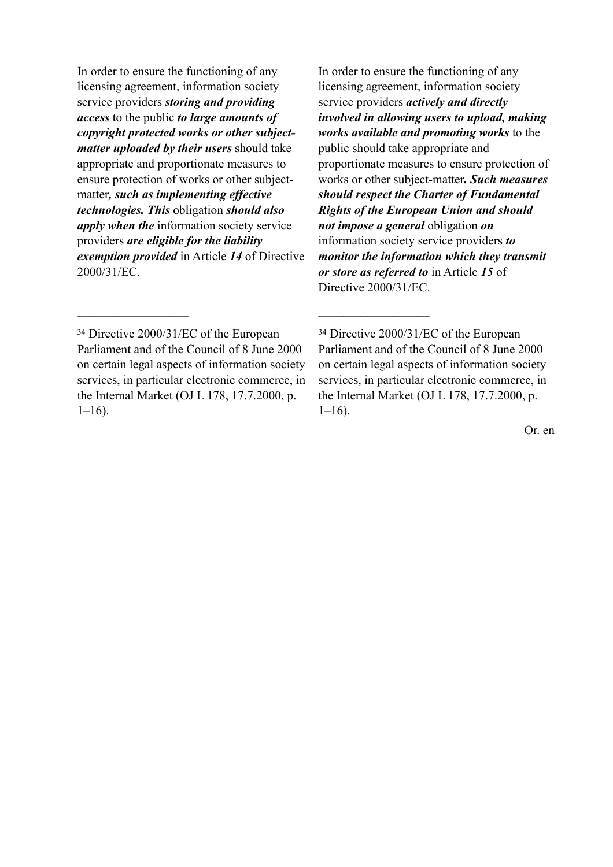In order to ensure the functioning of any licensing agreement, information society service providers *storing and providing access* to the public *to large amounts of copyright protected works or other subjectmatter uploaded by their users* should take appropriate and proportionate measures to ensure protection of works or other subjectmatter*, such as implementing effective technologies. This* obligation *should also apply when the* information society service providers *are eligible for the liability exemption provided* in Article *14* of Directive 2000/31/EC.

In order to ensure the functioning of any licensing agreement, information society service providers *actively and directly involved in allowing users to upload, making works available and promoting works* to the public should take appropriate and proportionate measures to ensure protection of works or other subject-matter*. Such measures should respect the Charter of Fundamental Rights of the European Union and should not impose a general* obligation *on* information society service providers *to monitor the information which they transmit or store as referred to* in Article *15* of Directive 2000/31/EC.

 $\mathcal{L}_\text{max}$  and  $\mathcal{L}_\text{max}$  and  $\mathcal{L}_\text{max}$  and  $\mathcal{L}_\text{max}$ 

<sup>34</sup> Directive 2000/31/EC of the European Parliament and of the Council of 8 June 2000 on certain legal aspects of information society services, in particular electronic commerce, in the Internal Market (OJ L 178, 17.7.2000, p.  $1-16$ ).

<sup>34</sup> Directive 2000/31/EC of the European Parliament and of the Council of 8 June 2000 on certain legal aspects of information society services, in particular electronic commerce, in the Internal Market (OJ L 178, 17.7.2000, p.  $1-16$ ).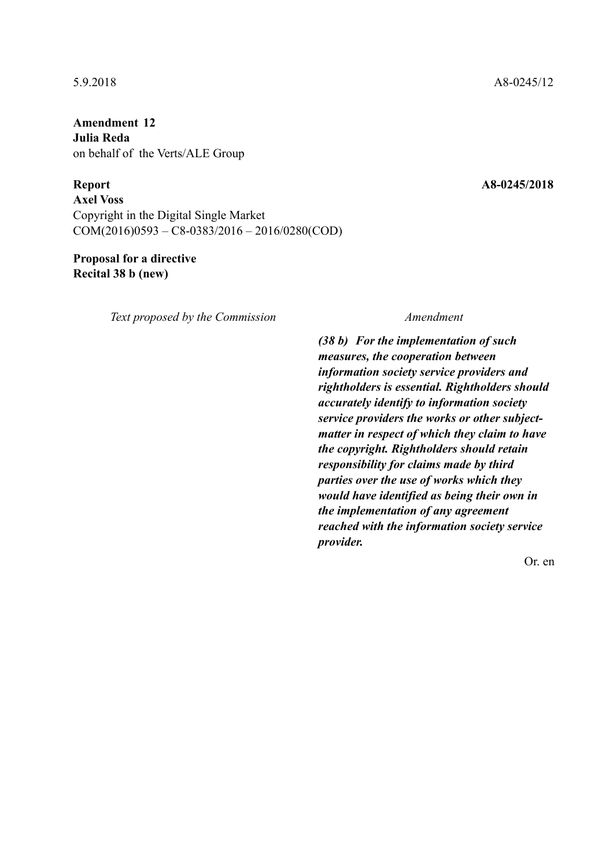**Amendment 12 Julia Reda**  on behalf of the Verts/ALE Group

**Report A8-0245/2018** 

**Axel Voss**  Copyright in the Digital Single Market COM(2016)0593 – C8-0383/2016 – 2016/0280(COD)

# **Proposal for a directive Recital 38 b (new)**

*Text proposed by the Commission Amendment*

*(38 b) For the implementation of such measures, the cooperation between information society service providers and rightholders is essential. Rightholders should accurately identify to information society service providers the works or other subjectmatter in respect of which they claim to have the copyright. Rightholders should retain responsibility for claims made by third parties over the use of works which they would have identified as being their own in the implementation of any agreement reached with the information society service provider.*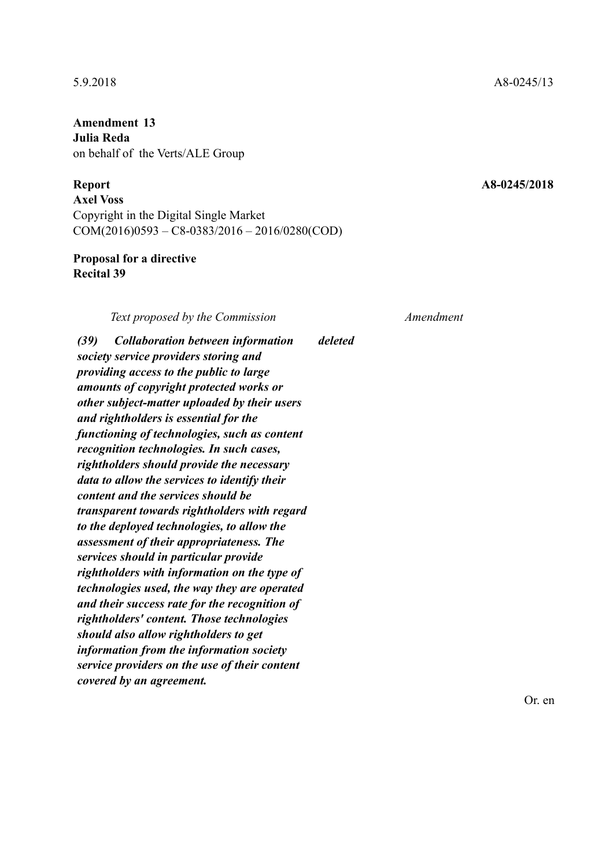**Amendment 13 Julia Reda**  on behalf of the Verts/ALE Group

## **Report A8-0245/2018**

**Axel Voss**  Copyright in the Digital Single Market COM(2016)0593 – C8-0383/2016 – 2016/0280(COD)

# **Proposal for a directive Recital 39**

*Text proposed by the Commission Amendment*

*deleted*

*(39) Collaboration between information society service providers storing and providing access to the public to large amounts of copyright protected works or other subject-matter uploaded by their users and rightholders is essential for the functioning of technologies, such as content recognition technologies. In such cases, rightholders should provide the necessary data to allow the services to identify their content and the services should be transparent towards rightholders with regard to the deployed technologies, to allow the assessment of their appropriateness. The services should in particular provide rightholders with information on the type of technologies used, the way they are operated and their success rate for the recognition of rightholders' content. Those technologies should also allow rightholders to get information from the information society service providers on the use of their content covered by an agreement.*

5.9.2018 A8-0245/13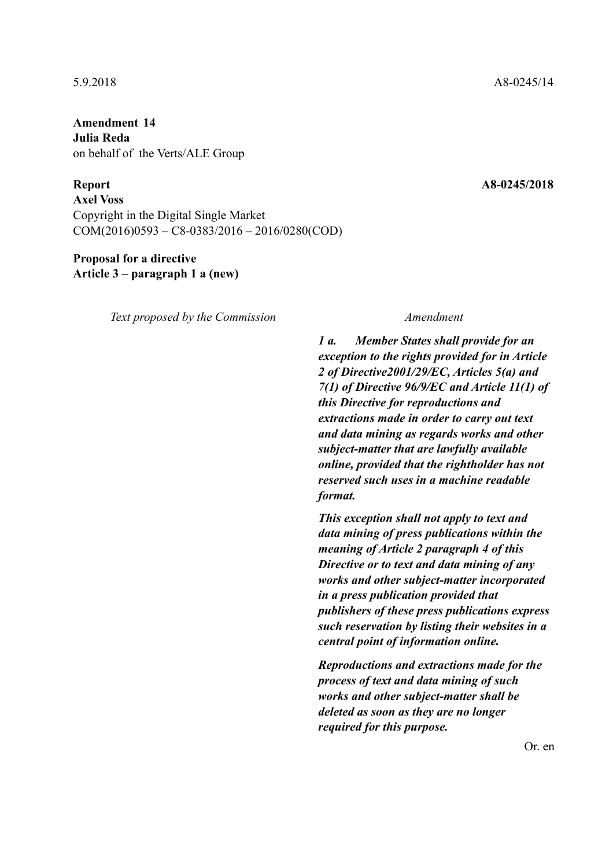**Amendment 14 Julia Reda**  on behalf of the Verts/ALE Group

**Axel Voss**  Copyright in the Digital Single Market COM(2016)0593 – C8-0383/2016 – 2016/0280(COD)

# **Proposal for a directive Article 3 – paragraph 1 a (new)**

*Text proposed by the Commission Amendment*

*1 a. Member States shall provide for an exception to the rights provided for in Article 2 of Directive2001/29/EC, Articles 5(a) and 7(1) of Directive 96/9/EC and Article 11(1) of this Directive for reproductions and extractions made in order to carry out text and data mining as regards works and other subject-matter that are lawfully available online, provided that the rightholder has not reserved such uses in a machine readable format.*

*This exception shall not apply to text and data mining of press publications within the meaning of Article 2 paragraph 4 of this Directive or to text and data mining of any works and other subject-matter incorporated in a press publication provided that publishers of these press publications express such reservation by listing their websites in a central point of information online.*

*Reproductions and extractions made for the process of text and data mining of such works and other subject-matter shall be deleted as soon as they are no longer required for this purpose.*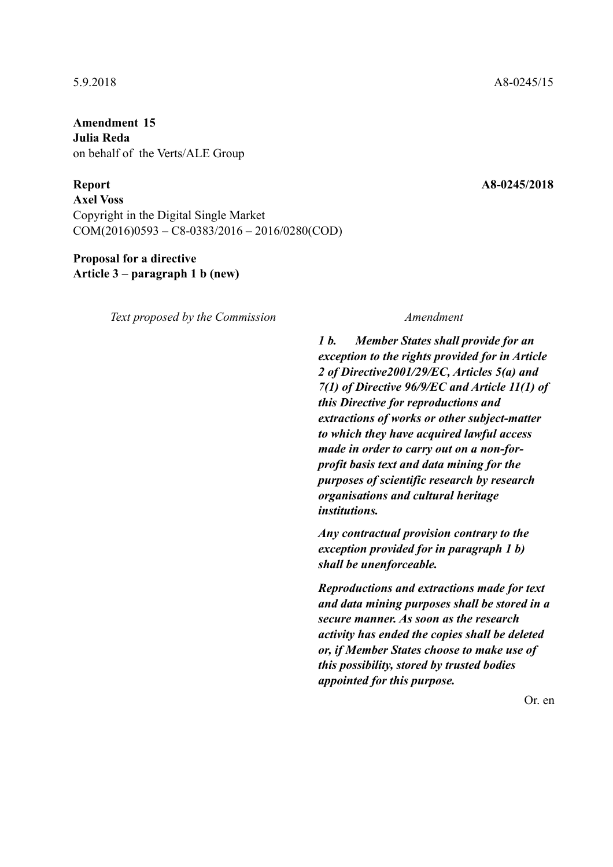**Amendment 15 Julia Reda**  on behalf of the Verts/ALE Group

**Axel Voss**  Copyright in the Digital Single Market COM(2016)0593 – C8-0383/2016 – 2016/0280(COD)

# **Proposal for a directive Article 3 – paragraph 1 b (new)**

*Text proposed by the Commission Amendment*

*1 b. Member States shall provide for an exception to the rights provided for in Article 2 of Directive2001/29/EC, Articles 5(a) and 7(1) of Directive 96/9/EC and Article 11(1) of this Directive for reproductions and extractions of works or other subject-matter to which they have acquired lawful access made in order to carry out on a non-forprofit basis text and data mining for the purposes of scientific research by research organisations and cultural heritage institutions.*

*Any contractual provision contrary to the exception provided for in paragraph 1 b) shall be unenforceable.*

*Reproductions and extractions made for text and data mining purposes shall be stored in a secure manner. As soon as the research activity has ended the copies shall be deleted or, if Member States choose to make use of this possibility, stored by trusted bodies appointed for this purpose.*

Or. en

## 5.9.2018 A8-0245/15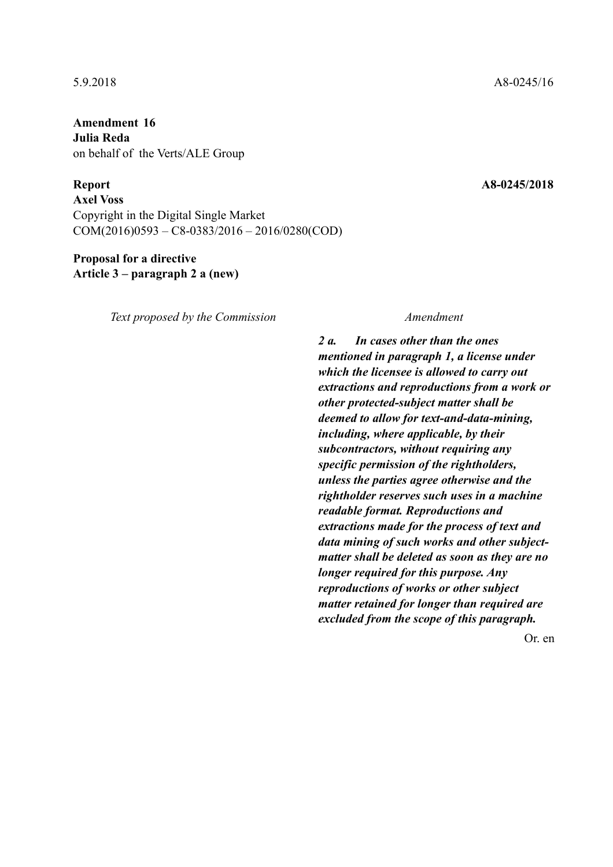**Amendment 16 Julia Reda**  on behalf of the Verts/ALE Group

**Axel Voss**  Copyright in the Digital Single Market COM(2016)0593 – C8-0383/2016 – 2016/0280(COD)

# **Proposal for a directive Article 3 – paragraph 2 a (new)**

*Text proposed by the Commission Amendment*

*2 a. In cases other than the ones mentioned in paragraph 1, a license under which the licensee is allowed to carry out extractions and reproductions from a work or other protected-subject matter shall be deemed to allow for text-and-data-mining, including, where applicable, by their subcontractors, without requiring any specific permission of the rightholders, unless the parties agree otherwise and the rightholder reserves such uses in a machine readable format. Reproductions and extractions made for the process of text and data mining of such works and other subjectmatter shall be deleted as soon as they are no longer required for this purpose. Any reproductions of works or other subject matter retained for longer than required are excluded from the scope of this paragraph.*

Or. en

## 5.9.2018 A8-0245/16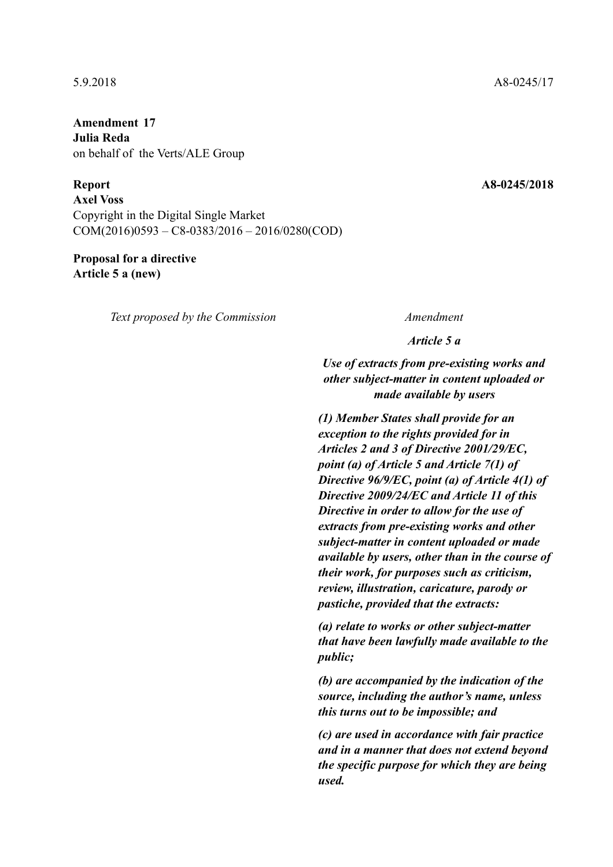**Amendment 17 Julia Reda**  on behalf of the Verts/ALE Group

**Axel Voss**  Copyright in the Digital Single Market COM(2016)0593 – C8-0383/2016 – 2016/0280(COD)

# **Proposal for a directive Article 5 a (new)**

*Text proposed by the Commission Amendment*

*Article 5 a*

*Use of extracts from pre-existing works and other subject-matter in content uploaded or made available by users*

*(1) Member States shall provide for an exception to the rights provided for in Articles 2 and 3 of Directive 2001/29/EC, point (a) of Article 5 and Article 7(1) of Directive 96/9/EC, point (a) of Article 4(1) of Directive 2009/24/EC and Article 11 of this Directive in order to allow for the use of extracts from pre-existing works and other subject-matter in content uploaded or made available by users, other than in the course of their work, for purposes such as criticism, review, illustration, caricature, parody or pastiche, provided that the extracts:* 

*(a) relate to works or other subject-matter that have been lawfully made available to the public;* 

*(b) are accompanied by the indication of the source, including the author's name, unless this turns out to be impossible; and* 

*(c) are used in accordance with fair practice and in a manner that does not extend beyond the specific purpose for which they are being used.*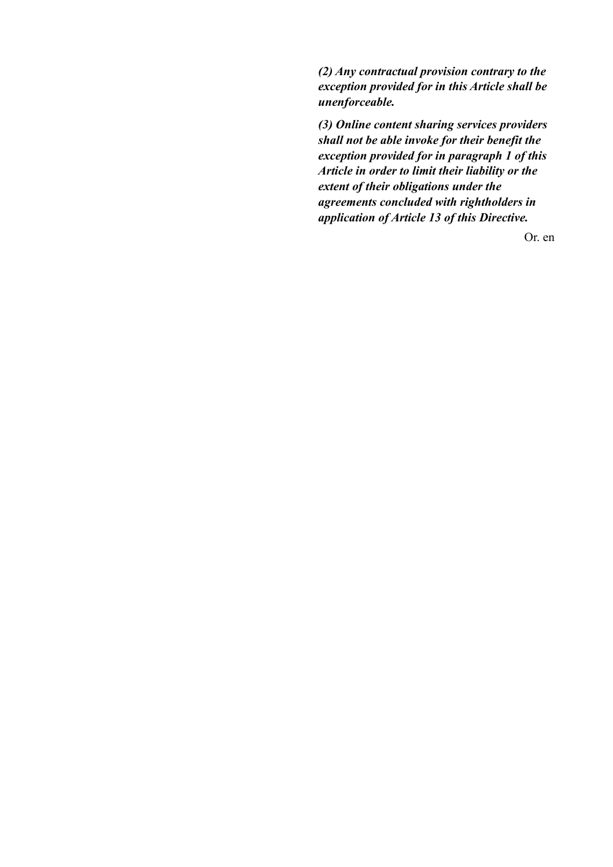*(2) Any contractual provision contrary to the exception provided for in this Article shall be unenforceable.* 

*(3) Online content sharing services providers shall not be able invoke for their benefit the exception provided for in paragraph 1 of this Article in order to limit their liability or the extent of their obligations under the agreements concluded with rightholders in application of Article 13 of this Directive.*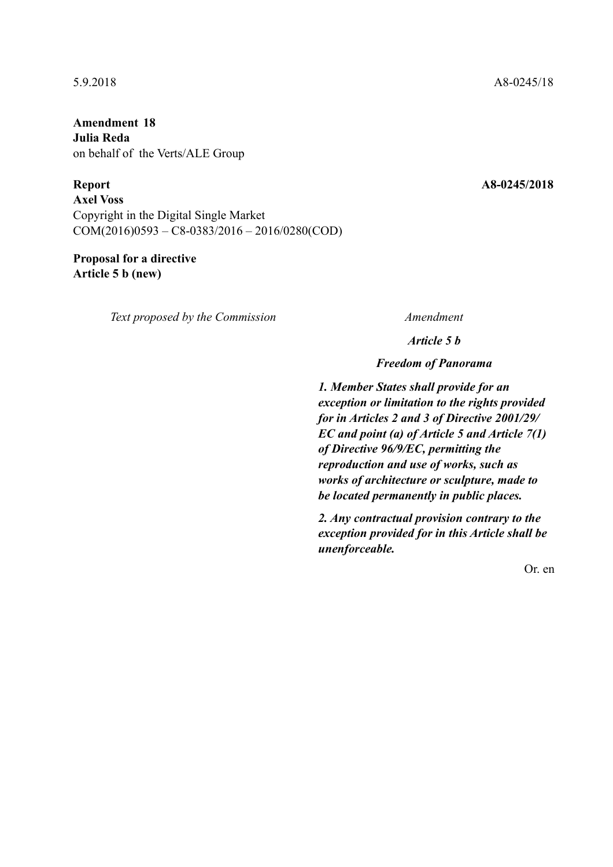**Amendment 18 Julia Reda**  on behalf of the Verts/ALE Group

**Axel Voss**  Copyright in the Digital Single Market COM(2016)0593 – C8-0383/2016 – 2016/0280(COD)

# **Proposal for a directive Article 5 b (new)**

*Text proposed by the Commission Amendment*

*Article 5 b*

*Freedom of Panorama*

*1. Member States shall provide for an exception or limitation to the rights provided for in Articles 2 and 3 of Directive 2001/29/ EC and point (a) of Article 5 and Article 7(1) of Directive 96/9/EC, permitting the reproduction and use of works, such as works of architecture or sculpture, made to be located permanently in public places.*

*2. Any contractual provision contrary to the exception provided for in this Article shall be unenforceable.*

Or. en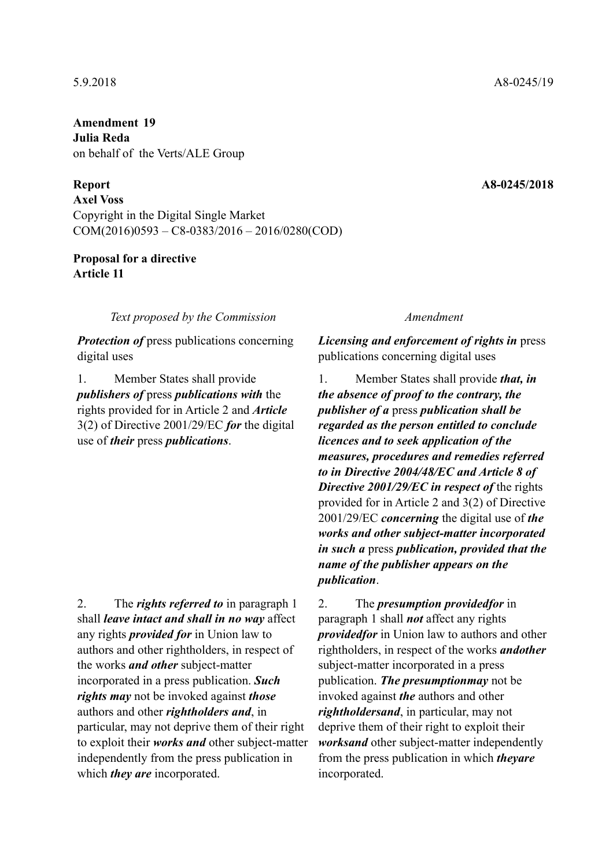**Amendment 19 Julia Reda**  on behalf of the Verts/ALE Group

**Axel Voss**  Copyright in the Digital Single Market COM(2016)0593 – C8-0383/2016 – 2016/0280(COD)

# **Proposal for a directive Article 11**

*Text proposed by the Commission Amendment*

*Protection of* press publications concerning digital uses

1. Member States shall provide *publishers of* press *publications with* the rights provided for in Article 2 and *Article* 3(2) of Directive 2001/29/EC *for* the digital use of *their* press *publications*.

2. The *rights referred to* in paragraph 1 shall *leave intact and shall in no way* affect any rights *provided for* in Union law to authors and other rightholders, in respect of the works *and other* subject-matter incorporated in a press publication. *Such rights may* not be invoked against *those* authors and other *rightholders and*, in particular, may not deprive them of their right to exploit their *works and* other subject-matter independently from the press publication in which *they are* incorporated.

*Licensing and enforcement of rights in* press publications concerning digital uses

1. Member States shall provide *that, in the absence of proof to the contrary, the publisher of a* press *publication shall be regarded as the person entitled to conclude licences and to seek application of the measures, procedures and remedies referred to in Directive 2004/48/EC and Article 8 of Directive 2001/29/EC in respect of* the rights provided for in Article 2 and 3(2) of Directive 2001/29/EC *concerning* the digital use of *the works and other subject-matter incorporated in such a* press *publication, provided that the name of the publisher appears on the publication*.

2. The *presumption providedfor* in paragraph 1 shall *not* affect any rights *providedfor* in Union law to authors and other rightholders, in respect of the works *andother* subject-matter incorporated in a press publication. *The presumptionmay* not be invoked against *the* authors and other *rightholdersand*, in particular, may not deprive them of their right to exploit their *worksand* other subject-matter independently from the press publication in which *theyare* incorporated.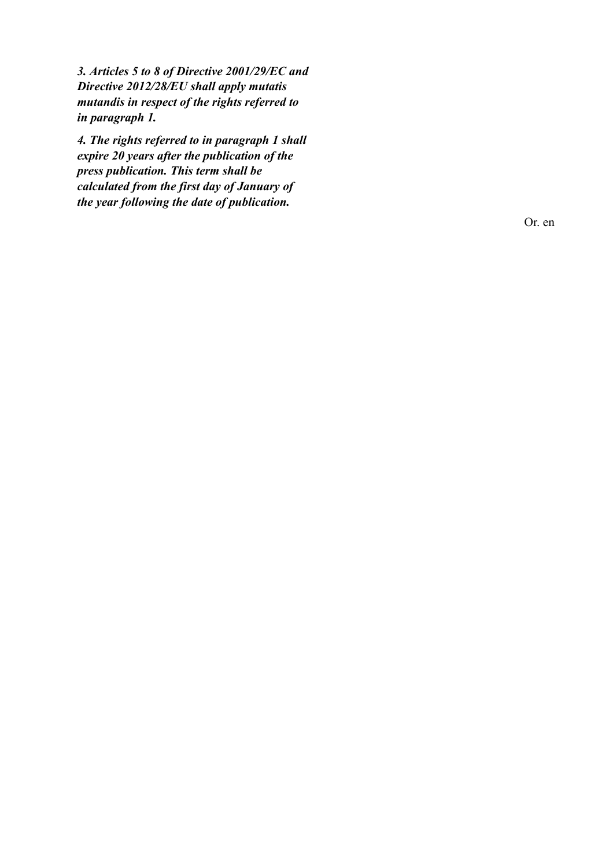*3. Articles 5 to 8 of Directive 2001/29/EC and Directive 2012/28/EU shall apply mutatis mutandis in respect of the rights referred to in paragraph 1.*

*4. The rights referred to in paragraph 1 shall expire 20 years after the publication of the press publication. This term shall be calculated from the first day of January of the year following the date of publication.*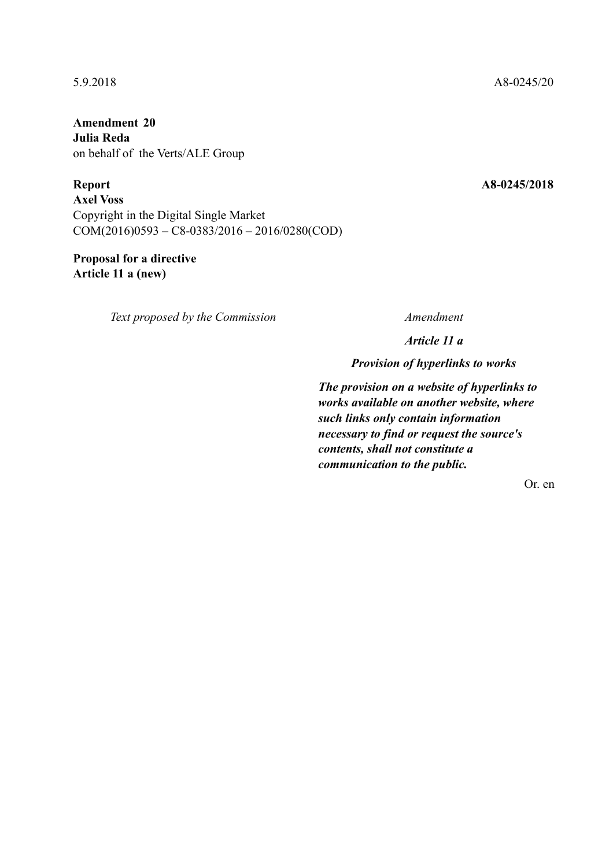**Amendment 20 Julia Reda**  on behalf of the Verts/ALE Group

**Report A8-0245/2018 Axel Voss**  Copyright in the Digital Single Market  $COM(2016)0593 - C8-0383/2016 - 2016/0280(COD)$ 

**Proposal for a directive Article 11 a (new)** 

*Text proposed by the Commission Amendment*

*Article 11 a*

*Provision of hyperlinks to works*

*The provision on a website of hyperlinks to works available on another website, where such links only contain information necessary to find or request the source's contents, shall not constitute a communication to the public.*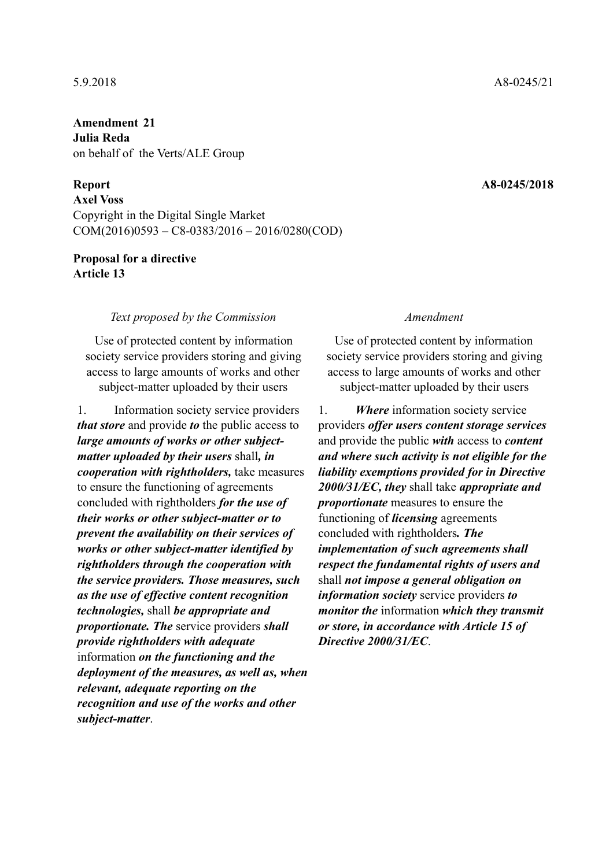**Amendment 21 Julia Reda**  on behalf of the Verts/ALE Group

**Axel Voss**  Copyright in the Digital Single Market COM(2016)0593 – C8-0383/2016 – 2016/0280(COD)

# **Proposal for a directive Article 13**

## *Text proposed by the Commission Amendment*

Use of protected content by information society service providers storing and giving access to large amounts of works and other subject-matter uploaded by their users

1. Information society service providers *that store* and provide *to* the public access to *large amounts of works or other subjectmatter uploaded by their users* shall*, in cooperation with rightholders,* take measures to ensure the functioning of agreements concluded with rightholders *for the use of their works or other subject-matter or to prevent the availability on their services of works or other subject-matter identified by rightholders through the cooperation with the service providers. Those measures, such as the use of effective content recognition technologies,* shall *be appropriate and proportionate. The* service providers *shall provide rightholders with adequate* information *on the functioning and the deployment of the measures, as well as, when relevant, adequate reporting on the recognition and use of the works and other subject-matter*.

Use of protected content by information society service providers storing and giving access to large amounts of works and other subject-matter uploaded by their users

1. *Where* information society service providers *offer users content storage services* and provide the public *with* access to *content and where such activity is not eligible for the liability exemptions provided for in Directive 2000/31/EC, they* shall take *appropriate and proportionate* measures to ensure the functioning of *licensing* agreements concluded with rightholders*. The implementation of such agreements shall respect the fundamental rights of users and* shall *not impose a general obligation on information society* service providers *to monitor the* information *which they transmit or store, in accordance with Article 15 of Directive 2000/31/EC*.